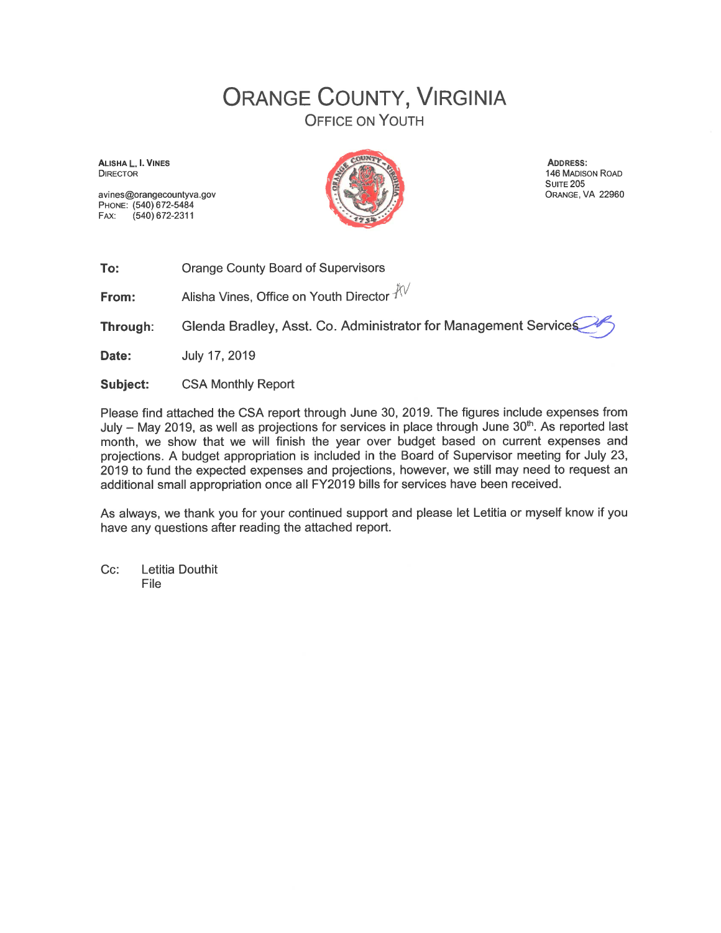## **ORANGE COUNTY, VIRGINIA OFFICE ON YOUTH**

ALISHA L. I. VINES **DIRECTOR** 

avines@orangecountyva.gov PHONE: (540) 672-5484  $(540)$  672-2311 FAX:



ADDRESS: 146 MADISON ROAD **SUITE 205** ORANGE, VA 22960

To: **Orange County Board of Supervisors** 

Alisha Vines, Office on Youth Director  $\sqrt[3]{\vee}$ From:

Glenda Bradley, Asst. Co. Administrator for Management Services Through:

Date: July 17, 2019

**Subject: CSA Monthly Report** 

Please find attached the CSA report through June 30, 2019. The figures include expenses from July - May 2019, as well as projections for services in place through June 30<sup>th</sup>. As reported last month, we show that we will finish the year over budget based on current expenses and projections. A budget appropriation is included in the Board of Supervisor meeting for July 23, 2019 to fund the expected expenses and projections, however, we still may need to request an additional small appropriation once all FY2019 bills for services have been received.

As always, we thank you for your continued support and please let Letitia or myself know if you have any questions after reading the attached report.

 $Cc$ : Letitia Douthit File